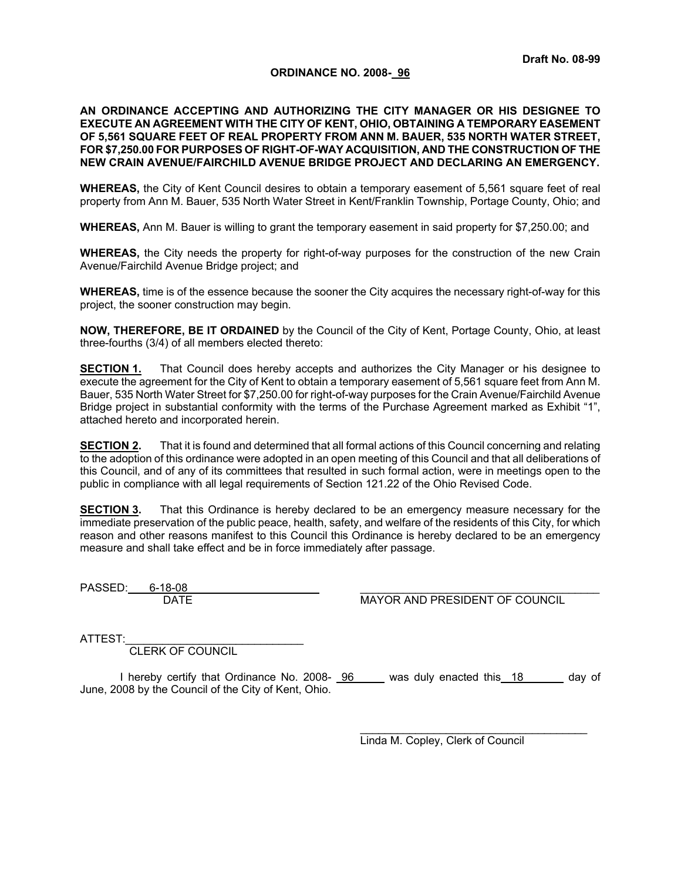## **Draft No. 08-99**

## **ORDINANCE NO. 2008- 96**

## **AN ORDINANCE ACCEPTING AND AUTHORIZING THE CITY MANAGER OR HIS DESIGNEE TO EXECUTE AN AGREEMENT WITH THE CITY OF KENT, OHIO, OBTAINING A TEMPORARY EASEMENT OF 5,561 SQUARE FEET OF REAL PROPERTY FROM ANN M. BAUER, 535 NORTH WATER STREET, FOR \$7,250.00 FOR PURPOSES OF RIGHT-OF-WAY ACQUISITION, AND THE CONSTRUCTION OF THE NEW CRAIN AVENUE/FAIRCHILD AVENUE BRIDGE PROJECT AND DECLARING AN EMERGENCY.**

**WHEREAS,** the City of Kent Council desires to obtain a temporary easement of 5,561 square feet of real property from Ann M. Bauer, 535 North Water Street in Kent/Franklin Township, Portage County, Ohio; and

**WHEREAS,** Ann M. Bauer is willing to grant the temporary easement in said property for \$7,250.00; and

**WHEREAS,** the City needs the property for right-of-way purposes for the construction of the new Crain Avenue/Fairchild Avenue Bridge project; and

**WHEREAS,** time is of the essence because the sooner the City acquires the necessary right-of-way for this project, the sooner construction may begin.

**NOW, THEREFORE, BE IT ORDAINED** by the Council of the City of Kent, Portage County, Ohio, at least three-fourths (3/4) of all members elected thereto:

**SECTION 1.** That Council does hereby accepts and authorizes the City Manager or his designee to execute the agreement for the City of Kent to obtain a temporary easement of 5,561 square feet from Ann M. Bauer, 535 North Water Street for \$7,250.00 for right-of-way purposes for the Crain Avenue/Fairchild Avenue Bridge project in substantial conformity with the terms of the Purchase Agreement marked as Exhibit "1", attached hereto and incorporated herein.

**SECTION 2.** That it is found and determined that all formal actions of this Council concerning and relating to the adoption of this ordinance were adopted in an open meeting of this Council and that all deliberations of this Council, and of any of its committees that resulted in such formal action, were in meetings open to the public in compliance with all legal requirements of Section 121.22 of the Ohio Revised Code.

**SECTION 3.** That this Ordinance is hereby declared to be an emergency measure necessary for the immediate preservation of the public peace, health, safety, and welfare of the residents of this City, for which reason and other reasons manifest to this Council this Ordinance is hereby declared to be an emergency measure and shall take effect and be in force immediately after passage.

PASSED: 6-18-08

DATE MAYOR AND PRESIDENT OF COUNCIL

ATTEST:

CLERK OF COUNCIL

I hereby certify that Ordinance No. 2008- 96 was duly enacted this 18 and day of June, 2008 by the Council of the City of Kent, Ohio.

> \_\_\_\_\_\_\_\_\_\_\_\_\_\_\_\_\_\_\_\_\_\_\_\_\_\_\_\_\_\_\_\_\_\_\_\_\_ Linda M. Copley, Clerk of Council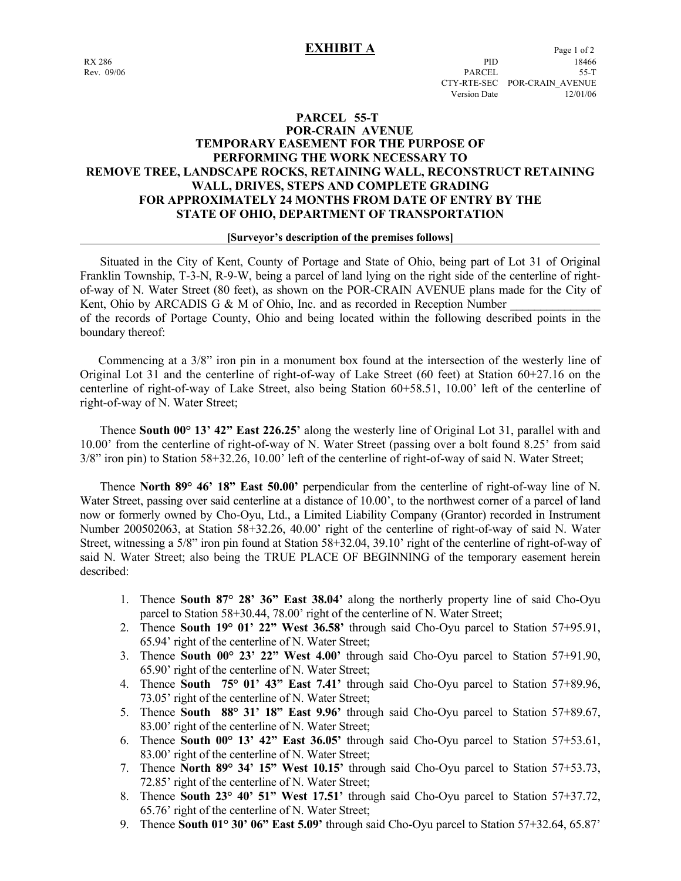## **PARCEL 55-T POR-CRAIN AVENUE TEMPORARY EASEMENT FOR THE PURPOSE OF PERFORMING THE WORK NECESSARY TO REMOVE TREE, LANDSCAPE ROCKS, RETAINING WALL, RECONSTRUCT RETAINING WALL, DRIVES, STEPS AND COMPLETE GRADING FOR APPROXIMATELY 24 MONTHS FROM DATE OF ENTRY BY THE STATE OF OHIO, DEPARTMENT OF TRANSPORTATION**

## **[Surveyor's description of the premises follows]**

 Situated in the City of Kent, County of Portage and State of Ohio, being part of Lot 31 of Original Franklin Township, T-3-N, R-9-W, being a parcel of land lying on the right side of the centerline of rightof-way of N. Water Street (80 feet), as shown on the POR-CRAIN AVENUE plans made for the City of Kent, Ohio by ARCADIS G & M of Ohio, Inc. and as recorded in Reception Number of the records of Portage County, Ohio and being located within the following described points in the boundary thereof:

 Commencing at a 3/8" iron pin in a monument box found at the intersection of the westerly line of Original Lot 31 and the centerline of right-of-way of Lake Street (60 feet) at Station 60+27.16 on the centerline of right-of-way of Lake Street, also being Station 60+58.51, 10.00' left of the centerline of right-of-way of N. Water Street;

 Thence **South 00° 13' 42" East 226.25'** along the westerly line of Original Lot 31, parallel with and 10.00' from the centerline of right-of-way of N. Water Street (passing over a bolt found 8.25' from said 3/8" iron pin) to Station 58+32.26, 10.00' left of the centerline of right-of-way of said N. Water Street;

 Thence **North 89° 46' 18" East 50.00'** perpendicular from the centerline of right-of-way line of N. Water Street, passing over said centerline at a distance of 10.00', to the northwest corner of a parcel of land now or formerly owned by Cho-Oyu, Ltd., a Limited Liability Company (Grantor) recorded in Instrument Number 200502063, at Station 58+32.26, 40.00' right of the centerline of right-of-way of said N. Water Street, witnessing a 5/8" iron pin found at Station 58+32.04, 39.10' right of the centerline of right-of-way of said N. Water Street; also being the TRUE PLACE OF BEGINNING of the temporary easement herein described:

- 1. Thence **South 87° 28' 36" East 38.04'** along the northerly property line of said Cho-Oyu parcel to Station 58+30.44, 78.00' right of the centerline of N. Water Street;
- 2. Thence **South 19° 01' 22" West 36.58'** through said Cho-Oyu parcel to Station 57+95.91, 65.94' right of the centerline of N. Water Street;
- 3. Thence **South 00° 23' 22" West 4.00'** through said Cho-Oyu parcel to Station 57+91.90, 65.90' right of the centerline of N. Water Street;
- 4. Thence **South 75° 01' 43" East 7.41'** through said Cho-Oyu parcel to Station 57+89.96, 73.05' right of the centerline of N. Water Street;
- 5. Thence **South 88° 31' 18" East 9.96'** through said Cho-Oyu parcel to Station 57+89.67, 83.00' right of the centerline of N. Water Street;
- 6. Thence **South 00° 13' 42" East 36.05'** through said Cho-Oyu parcel to Station 57+53.61, 83.00' right of the centerline of N. Water Street;
- 7. Thence **North 89° 34' 15" West 10.15'** through said Cho-Oyu parcel to Station 57+53.73, 72.85' right of the centerline of N. Water Street;
- 8. Thence **South 23° 40' 51" West 17.51'** through said Cho-Oyu parcel to Station 57+37.72, 65.76' right of the centerline of N. Water Street;
- 9. Thence **South 01° 30' 06" East 5.09'** through said Cho-Oyu parcel to Station 57+32.64, 65.87'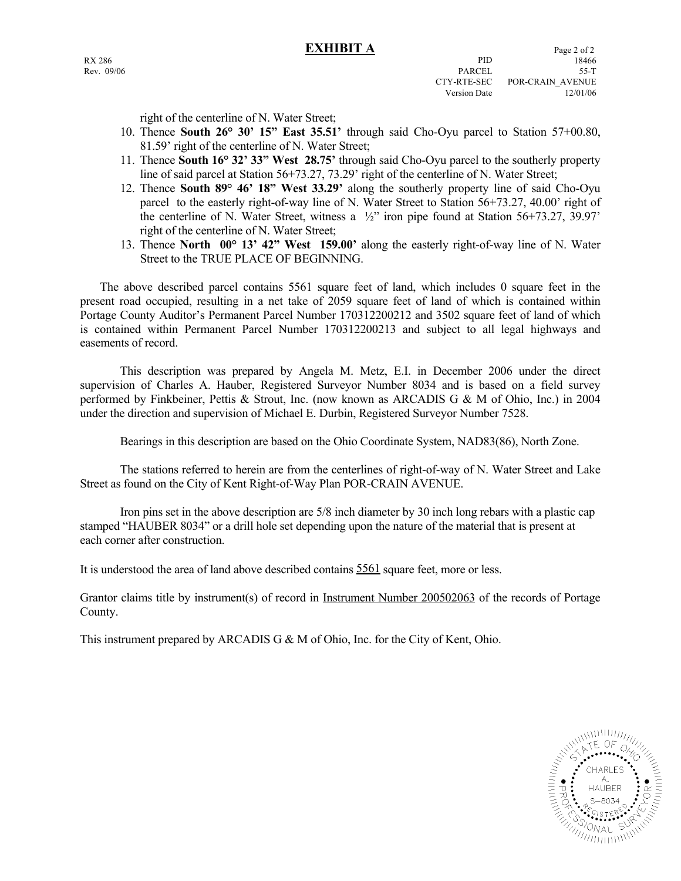right of the centerline of N. Water Street;

- 10. Thence **South 26° 30' 15" East 35.51'** through said Cho-Oyu parcel to Station 57+00.80, 81.59' right of the centerline of N. Water Street;
- 11. Thence **South 16° 32' 33" West 28.75'** through said Cho-Oyu parcel to the southerly property line of said parcel at Station 56+73.27, 73.29' right of the centerline of N. Water Street;
- 12. Thence **South 89° 46' 18" West 33.29'** along the southerly property line of said Cho-Oyu parcel to the easterly right-of-way line of N. Water Street to Station 56+73.27, 40.00' right of the centerline of N. Water Street, witness a  $\frac{1}{2}$  iron pipe found at Station 56+73.27, 39.97' right of the centerline of N. Water Street;
- 13. Thence **North 00° 13' 42" West 159.00'** along the easterly right-of-way line of N. Water Street to the TRUE PLACE OF BEGINNING.

 The above described parcel contains 5561 square feet of land, which includes 0 square feet in the present road occupied, resulting in a net take of 2059 square feet of land of which is contained within Portage County Auditor's Permanent Parcel Number 170312200212 and 3502 square feet of land of which is contained within Permanent Parcel Number 170312200213 and subject to all legal highways and easements of record.

 This description was prepared by Angela M. Metz, E.I. in December 2006 under the direct supervision of Charles A. Hauber, Registered Surveyor Number 8034 and is based on a field survey performed by Finkbeiner, Pettis & Strout, Inc. (now known as ARCADIS G & M of Ohio, Inc.) in 2004 under the direction and supervision of Michael E. Durbin, Registered Surveyor Number 7528.

Bearings in this description are based on the Ohio Coordinate System, NAD83(86), North Zone.

 The stations referred to herein are from the centerlines of right-of-way of N. Water Street and Lake Street as found on the City of Kent Right-of-Way Plan POR-CRAIN AVENUE.

 Iron pins set in the above description are 5/8 inch diameter by 30 inch long rebars with a plastic cap stamped "HAUBER 8034" or a drill hole set depending upon the nature of the material that is present at each corner after construction.

It is understood the area of land above described contains 5561 square feet, more or less.

Grantor claims title by instrument(s) of record in Instrument Number 200502063 of the records of Portage County.

This instrument prepared by ARCADIS G & M of Ohio, Inc. for the City of Kent, Ohio.

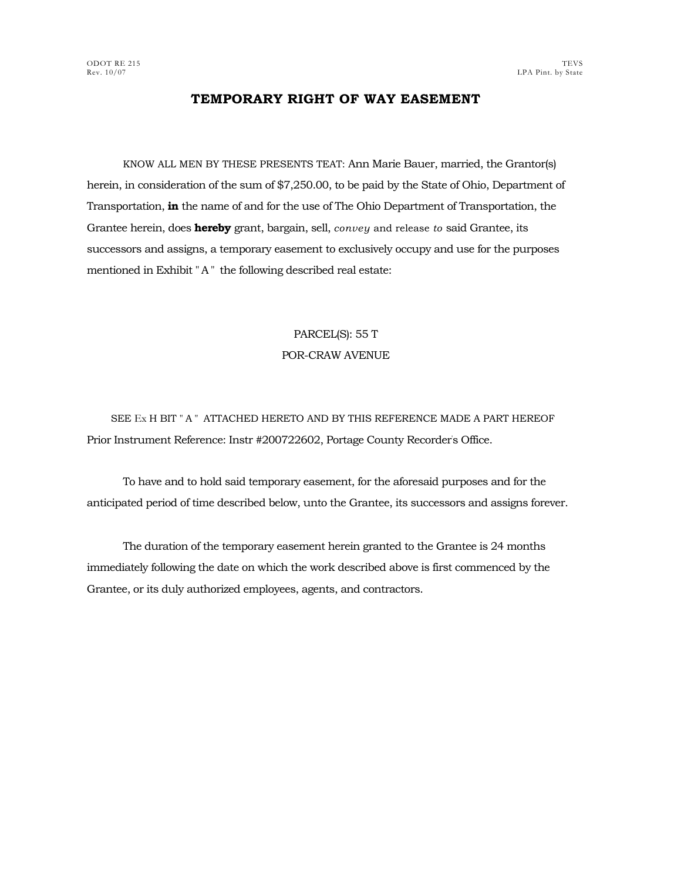# **TEMPORARY RIGHT OF WAY EASEMENT**

KNOW ALL MEN BY THESE PRESENTS TEAT: Ann Marie Bauer, married, the Grantor(s) herein, in consideration of the sum of \$7,250.00, to be paid by the State of Ohio, Department of Transportation, **in** the name of and for the use of The Ohio Department of Transportation, the Grantee herein, does **hereby** grant, bargain, sell, *convey* and release *to* said Grantee, its successors and assigns, a temporary easement to exclusively occupy and use for the purposes mentioned in Exhibit "A " the following described real estate:

# PARCEL(S): 55 T POR-CRAW AVENUE

SEE Ex H BIT " A " ATTACHED HERETO AND BY THIS REFERENCE MADE A PART HEREOF Prior Instrument Reference: Instr #200722602, Portage County Recorder' s Office.

To have and to hold said temporary easement, for the aforesaid purposes and for the anticipated period of time described below, unto the Grantee, its successors and assigns forever.

The duration of the temporary easement herein granted to the Grantee is 24 months immediately following the date on which the work described above is first commenced by the Grantee, or its duly authorized employees, agents, and contractors.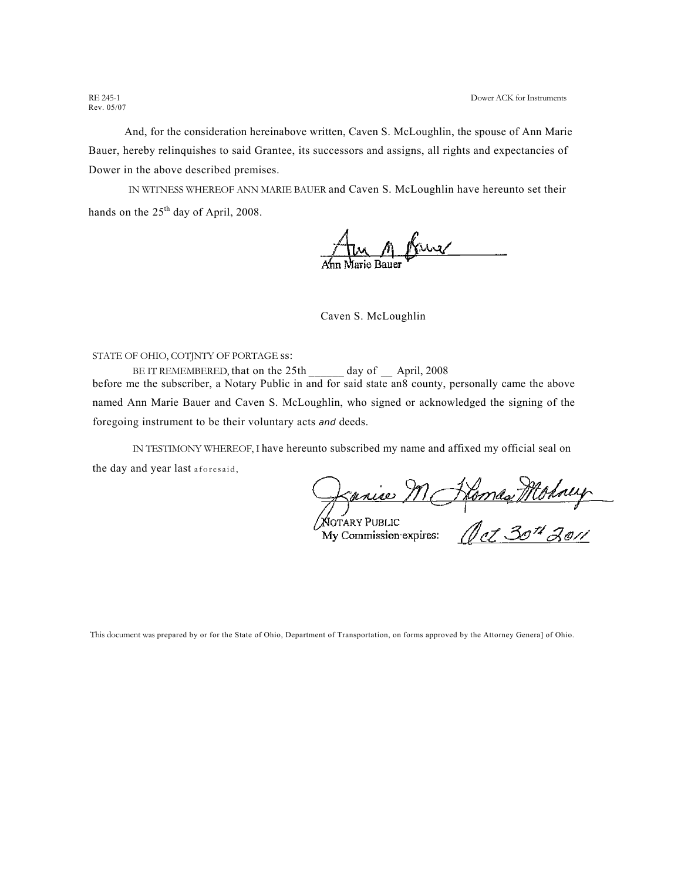Rev. 05/07

And, for the consideration hereinabove written, Caven S. McLoughlin, the spouse of Ann Marie Bauer, hereby relinquishes to said Grantee, its successors and assigns, all rights and expectancies of Dower in the above described premises.

IN WITNESS WHEREOF ANN MARIE BAUER and Caven S. McLoughlin have hereunto set their hands on the  $25<sup>th</sup>$  day of April, 2008.

<u>n Kus</u>

Caven S. McLoughlin

STATE OF OHIO, COTJNTY OF PORTAGE ss:

BE IT REMEMBERED, that on the 25th \_\_\_\_\_ day of \_ April, 2008 before me the subscriber, a Notary Public in and for said state an8 county, personally came the above named Ann Marie Bauer and Caven S. McLoughlin, who signed or acknowledged the signing of the foregoing instrument to be their voluntary acts *and* deeds.

IN TESTIMONY WHEREOF, I have hereunto subscribed my name and affixed my official seal on the day and year last aforesaid,

Ranie M Home Mohney

This document was prepared by or for the State of Ohio, Department of Transportation, on forms approved by the Attorney Genera] of Ohio.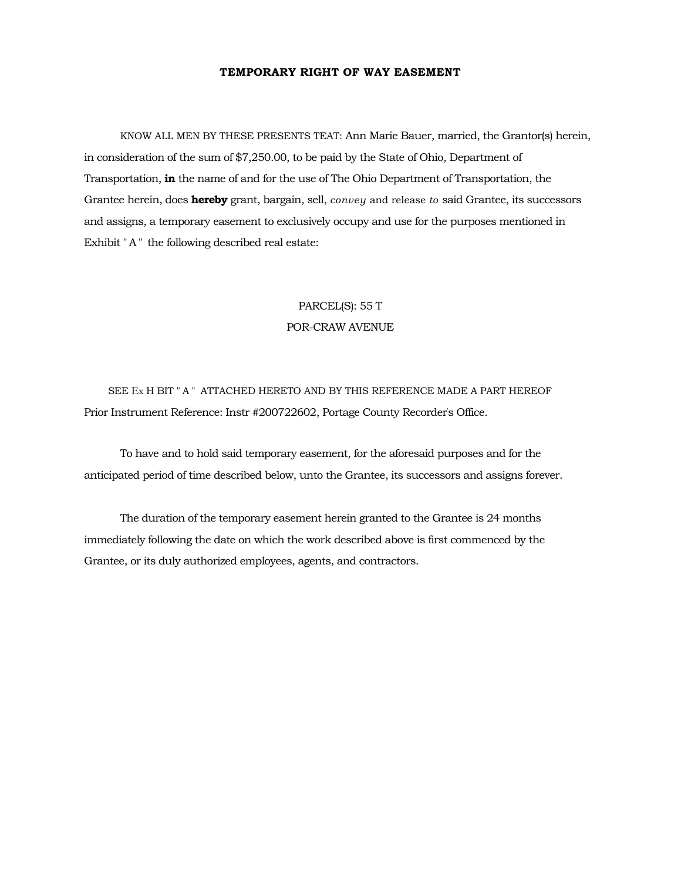## **TEMPORARY RIGHT OF WAY EASEMENT**

KNOW ALL MEN BY THESE PRESENTS TEAT: Ann Marie Bauer, married, the Grantor(s) herein, in consideration of the sum of \$7,250.00, to be paid by the State of Ohio, Department of Transportation, **in** the name of and for the use of The Ohio Department of Transportation, the Grantee herein, does **hereby** grant, bargain, sell, *convey* and release *to* said Grantee, its successors and assigns, a temporary easement to exclusively occupy and use for the purposes mentioned in Exhibit "A" the following described real estate:

# PARCEL(S): 55 T POR-CRAW AVENUE

SEE Ex H BIT " A " ATTACHED HERETO AND BY THIS REFERENCE MADE A PART HEREOF Prior Instrument Reference: Instr #200722602, Portage County Recorder' s Office.

To have and to hold said temporary easement, for the aforesaid purposes and for the anticipated period of time described below, unto the Grantee, its successors and assigns forever.

The duration of the temporary easement herein granted to the Grantee is 24 months immediately following the date on which the work described above is first commenced by the Grantee, or its duly authorized employees, agents, and contractors.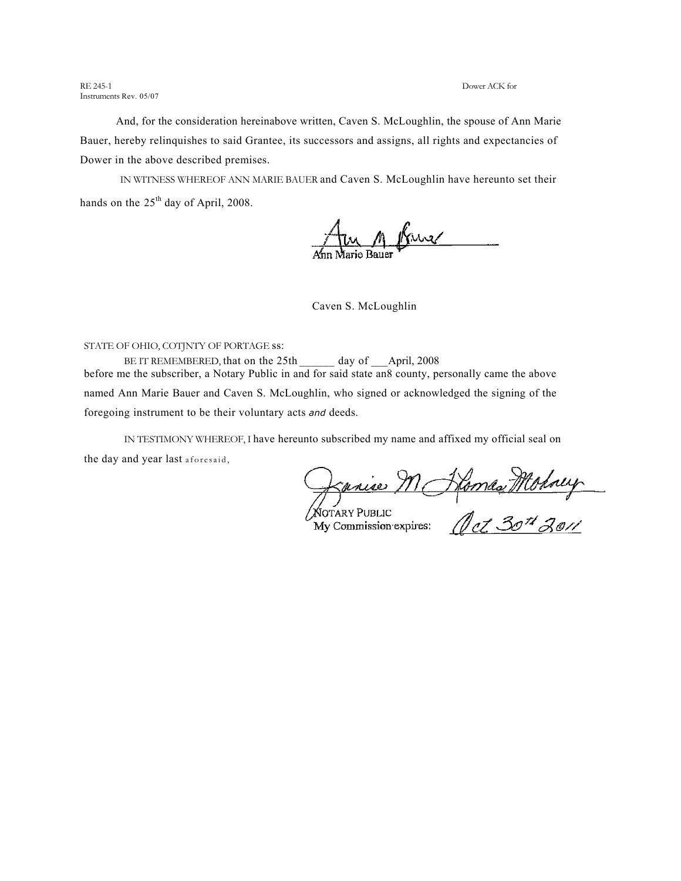RE 245-1 Dower ACK for Instruments Rev. 05/07

And, for the consideration hereinabove written, Caven S. McLoughlin, the spouse of Ann Marie Bauer, hereby relinquishes to said Grantee, its successors and assigns, all rights and expectancies of Dower in the above described premises.

IN WITNESS WHEREOF ANN MARIE BAUER and Caven S. McLoughlin have hereunto set their hands on the  $25<sup>th</sup>$  day of April, 2008.

M Krus

Caven S. McLoughlin

### STATE OF OHIO, COTJNTY OF PORTAGE ss:

BE IT REMEMBERED, that on the 25th day of April, 2008 before me the subscriber, a Notary Public in and for said state an8 county, personally came the above named Ann Marie Bauer and Caven S. McLoughlin, who signed or acknowledged the signing of the foregoing instrument to be their voluntary acts *and* deeds.

IN TESTIMONY WHEREOF, I have hereunto subscribed my name and affixed my official seal on the day and year last aforesaid,

Danie M Home Money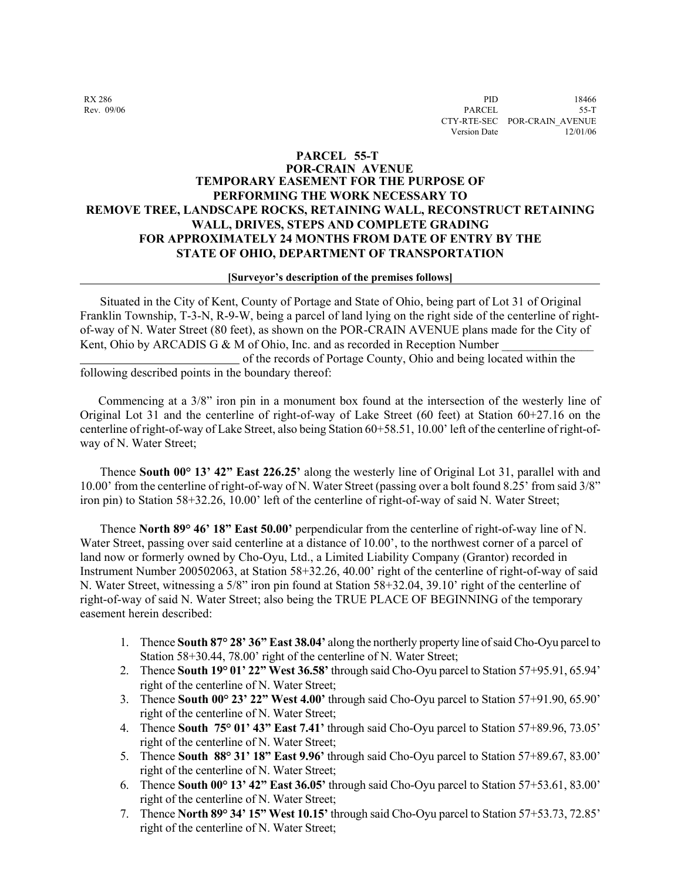## **PARCEL 55-T**

## **POR-CRAIN AVENUE TEMPORARY EASEMENT FOR THE PURPOSE OF PERFORMING THE WORK NECESSARY TO REMOVE TREE, LANDSCAPE ROCKS, RETAINING WALL, RECONSTRUCT RETAINING WALL, DRIVES, STEPS AND COMPLETE GRADING FOR APPROXIMATELY 24 MONTHS FROM DATE OF ENTRY BY THE STATE OF OHIO, DEPARTMENT OF TRANSPORTATION**

### **[Surveyor's description of the premises follows]**

 Situated in the City of Kent, County of Portage and State of Ohio, being part of Lot 31 of Original Franklin Township, T-3-N, R-9-W, being a parcel of land lying on the right side of the centerline of rightof-way of N. Water Street (80 feet), as shown on the POR-CRAIN AVENUE plans made for the City of Kent, Ohio by ARCADIS G & M of Ohio, Inc. and as recorded in Reception Number of the records of Portage County, Ohio and being located within the following described points in the boundary thereof:

 Commencing at a 3/8" iron pin in a monument box found at the intersection of the westerly line of Original Lot 31 and the centerline of right-of-way of Lake Street (60 feet) at Station 60+27.16 on the centerline of right-of-way of Lake Street, also being Station 60+58.51, 10.00' left of the centerline of right-ofway of N. Water Street;

 Thence **South 00° 13' 42" East 226.25'** along the westerly line of Original Lot 31, parallel with and 10.00' from the centerline of right-of-way of N. Water Street (passing over a bolt found 8.25' from said 3/8" iron pin) to Station 58+32.26, 10.00' left of the centerline of right-of-way of said N. Water Street;

 Thence **North 89° 46' 18" East 50.00'** perpendicular from the centerline of right-of-way line of N. Water Street, passing over said centerline at a distance of 10.00<sup>'</sup>, to the northwest corner of a parcel of land now or formerly owned by Cho-Oyu, Ltd., a Limited Liability Company (Grantor) recorded in Instrument Number 200502063, at Station 58+32.26, 40.00' right of the centerline of right-of-way of said N. Water Street, witnessing a 5/8" iron pin found at Station 58+32.04, 39.10' right of the centerline of right-of-way of said N. Water Street; also being the TRUE PLACE OF BEGINNING of the temporary easement herein described:

- 1. Thence **South 87° 28' 36" East 38.04'** along the northerly property line of said Cho-Oyu parcel to Station 58+30.44, 78.00' right of the centerline of N. Water Street;
- 2. Thence **South 19° 01' 22" West 36.58'** through said Cho-Oyu parcel to Station 57+95.91, 65.94' right of the centerline of N. Water Street;
- 3. Thence **South 00° 23' 22" West 4.00'** through said Cho-Oyu parcel to Station 57+91.90, 65.90' right of the centerline of N. Water Street;
- 4. Thence **South 75° 01' 43" East 7.41'** through said Cho-Oyu parcel to Station 57+89.96, 73.05' right of the centerline of N. Water Street;
- 5. Thence **South 88° 31' 18" East 9.96'** through said Cho-Oyu parcel to Station 57+89.67, 83.00' right of the centerline of N. Water Street;
- 6. Thence **South 00° 13' 42" East 36.05'** through said Cho-Oyu parcel to Station 57+53.61, 83.00' right of the centerline of N. Water Street;
- 7. Thence **North 89° 34' 15" West 10.15'** through said Cho-Oyu parcel to Station 57+53.73, 72.85' right of the centerline of N. Water Street;